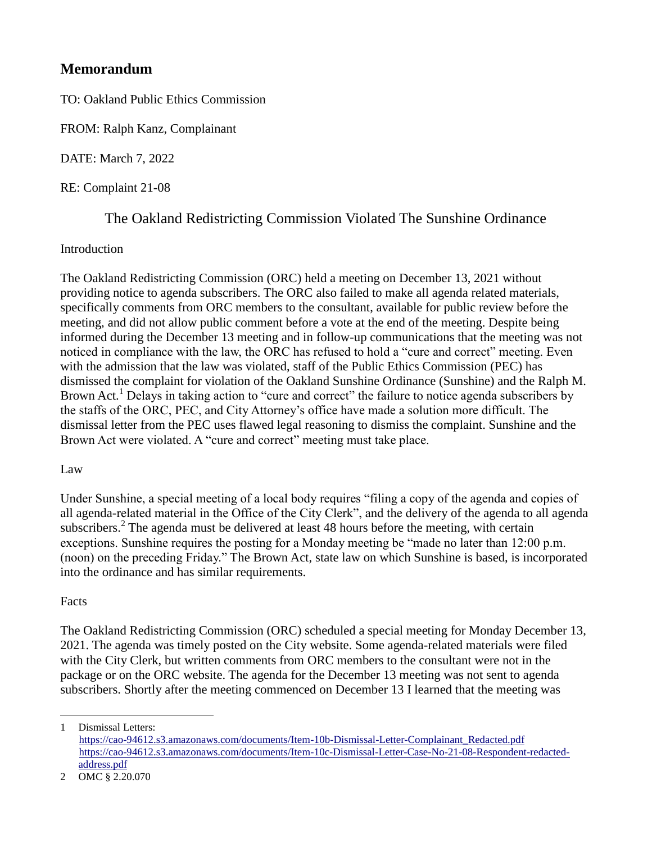## **Memorandum**

TO: Oakland Public Ethics Commission

FROM: Ralph Kanz, Complainant

DATE: March 7, 2022

RE: Complaint 21-08

# The Oakland Redistricting Commission Violated The Sunshine Ordinance

#### Introduction

The Oakland Redistricting Commission (ORC) held a meeting on December 13, 2021 without providing notice to agenda subscribers. The ORC also failed to make all agenda related materials, specifically comments from ORC members to the consultant, available for public review before the meeting, and did not allow public comment before a vote at the end of the meeting. Despite being informed during the December 13 meeting and in follow-up communications that the meeting was not noticed in compliance with the law, the ORC has refused to hold a "cure and correct" meeting. Even with the admission that the law was violated, staff of the Public Ethics Commission (PEC) has dismissed the complaint for violation of the Oakland Sunshine Ordinance (Sunshine) and the Ralph M. Brown Act.<sup>1</sup> Delays in taking action to "cure and correct" the failure to notice agenda subscribers by the staffs of the ORC, PEC, and City Attorney's office have made a solution more difficult. The dismissal letter from the PEC uses flawed legal reasoning to dismiss the complaint. Sunshine and the Brown Act were violated. A "cure and correct" meeting must take place.

#### Law

Under Sunshine, a special meeting of a local body requires "filing a copy of the agenda and copies of all agenda-related material in the Office of the City Clerk", and the delivery of the agenda to all agenda subscribers.<sup>2</sup> The agenda must be delivered at least 48 hours before the meeting, with certain exceptions. Sunshine requires the posting for a Monday meeting be "made no later than 12:00 p.m. (noon) on the preceding Friday." The Brown Act, state law on which Sunshine is based, is incorporated into the ordinance and has similar requirements.

### Facts

 $\overline{a}$ 

The Oakland Redistricting Commission (ORC) scheduled a special meeting for Monday December 13, 2021. The agenda was timely posted on the City website. Some agenda-related materials were filed with the City Clerk, but written comments from ORC members to the consultant were not in the package or on the ORC website. The agenda for the December 13 meeting was not sent to agenda subscribers. Shortly after the meeting commenced on December 13 I learned that the meeting was

<sup>1</sup> Dismissal Letters: [https://cao-94612.s3.amazonaws.com/documents/Item-10b-Dismissal-Letter-Complainant\\_Redacted.pdf](https://cao-94612.s3.amazonaws.com/documents/Item-10b-Dismissal-Letter-Complainant_Redacted.pdf) [https://cao-94612.s3.amazonaws.com/documents/Item-10c-Dismissal-Letter-Case-No-21-08-Respondent-redacted](https://cao-94612.s3.amazonaws.com/documents/Item-10c-Dismissal-Letter-Case-No-21-08-Respondent-redacted-address.pdf)[address.pdf](https://cao-94612.s3.amazonaws.com/documents/Item-10c-Dismissal-Letter-Case-No-21-08-Respondent-redacted-address.pdf)

<sup>2</sup> OMC § 2.20.070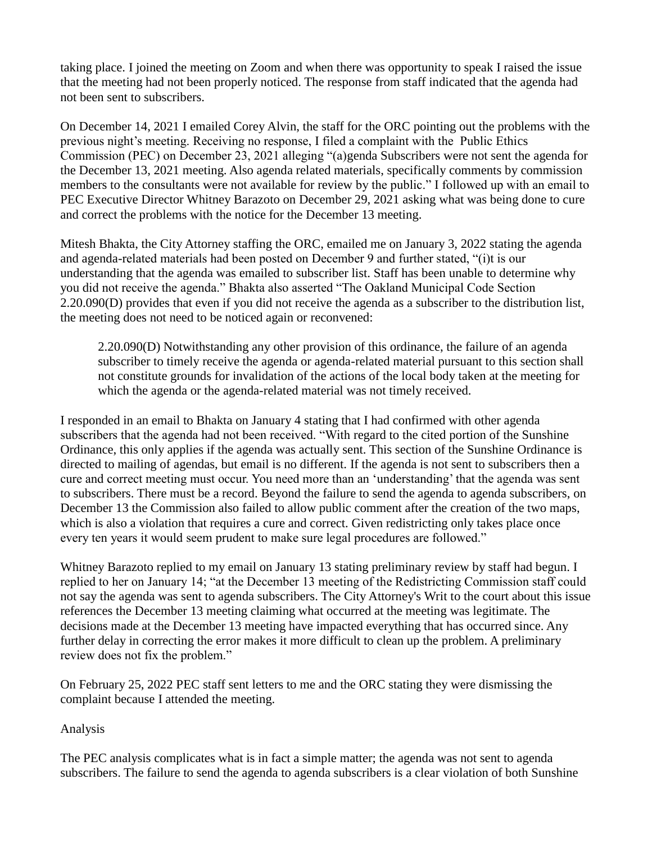taking place. I joined the meeting on Zoom and when there was opportunity to speak I raised the issue that the meeting had not been properly noticed. The response from staff indicated that the agenda had not been sent to subscribers.

On December 14, 2021 I emailed Corey Alvin, the staff for the ORC pointing out the problems with the previous night's meeting. Receiving no response, I filed a complaint with the Public Ethics Commission (PEC) on December 23, 2021 alleging "(a)genda Subscribers were not sent the agenda for the December 13, 2021 meeting. Also agenda related materials, specifically comments by commission members to the consultants were not available for review by the public." I followed up with an email to PEC Executive Director Whitney Barazoto on December 29, 2021 asking what was being done to cure and correct the problems with the notice for the December 13 meeting.

Mitesh Bhakta, the City Attorney staffing the ORC, emailed me on January 3, 2022 stating the agenda and agenda-related materials had been posted on December 9 and further stated, "(i)t is our understanding that the agenda was emailed to subscriber list. Staff has been unable to determine why you did not receive the agenda." Bhakta also asserted "The Oakland Municipal Code Section 2.20.090(D) provides that even if you did not receive the agenda as a subscriber to the distribution list, the meeting does not need to be noticed again or reconvened:

2.20.090(D) Notwithstanding any other provision of this ordinance, the failure of an agenda subscriber to timely receive the agenda or agenda-related material pursuant to this section shall not constitute grounds for invalidation of the actions of the local body taken at the meeting for which the agenda or the agenda-related material was not timely received.

I responded in an email to Bhakta on January 4 stating that I had confirmed with other agenda subscribers that the agenda had not been received. "With regard to the cited portion of the Sunshine Ordinance, this only applies if the agenda was actually sent. This section of the Sunshine Ordinance is directed to mailing of agendas, but email is no different. If the agenda is not sent to subscribers then a cure and correct meeting must occur. You need more than an 'understanding' that the agenda was sent to subscribers. There must be a record. Beyond the failure to send the agenda to agenda subscribers, on December 13 the Commission also failed to allow public comment after the creation of the two maps, which is also a violation that requires a cure and correct. Given redistricting only takes place once every ten years it would seem prudent to make sure legal procedures are followed."

Whitney Barazoto replied to my email on January 13 stating preliminary review by staff had begun. I replied to her on January 14; "at the December 13 meeting of the Redistricting Commission staff could not say the agenda was sent to agenda subscribers. The City Attorney's Writ to the court about this issue references the December 13 meeting claiming what occurred at the meeting was legitimate. The decisions made at the December 13 meeting have impacted everything that has occurred since. Any further delay in correcting the error makes it more difficult to clean up the problem. A preliminary review does not fix the problem."

On February 25, 2022 PEC staff sent letters to me and the ORC stating they were dismissing the complaint because I attended the meeting.

Analysis

The PEC analysis complicates what is in fact a simple matter; the agenda was not sent to agenda subscribers. The failure to send the agenda to agenda subscribers is a clear violation of both Sunshine